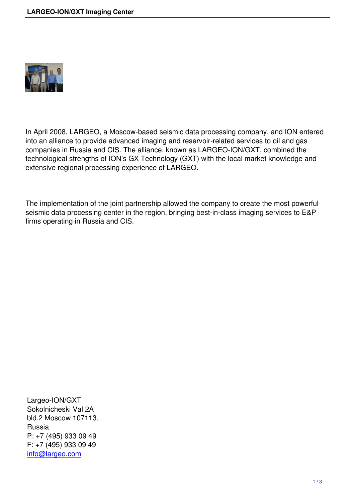

In April 2008, LARGEO, a Moscow-based seismic data processing company, and ION entered into an alliance to provide advanced imaging and reservoir-related services to oil and gas companies in Russia and CIS. The alliance, known as LARGEO-ION/GXT, combined the technological strengths of ION's GX Technology (GXT) with the local market knowledge and extensive regional processing experience of LARGEO.

The implementation of the joint partnership allowed the company to create the most powerful seismic data processing center in the region, bringing best-in-class imaging services to E&P firms operating in Russia and CIS.

Largeo-ION/GXT Sokolnicheski Val 2А bld.2 Moscow 107113, Russia P: +7 (495) 933 09 49 F: +7 (495) 933 09 49 info@largeo.com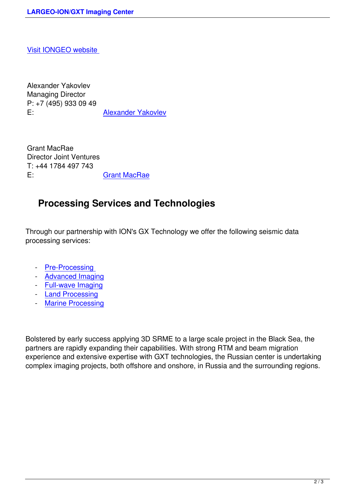[Alexander Yakovlev](http://www.iongeo.ru/) Managing Director P: +7 (495) 933 09 49 E: **Alexander Yakovlev** 

Grant MacRae Director Joint Ventures T: +44 1784 497 743 E: Grant MacRae

## **Processing S[ervices and](mailto:Grant.MacRae@iongeo.com) Technologies**

Through our partnership with ION's GX Technology we offer the following seismic data processing services:

- **Pre-Processing**
- Advanced Imaging
- Full-wave Imaging
- [Land Processing](index.php/en/preprocessing)
- [Marine Processing](index.php/en/leading-technologies)

Bolst[ered by early succes](index.php/en/marine-seismic-data-processing)s applying 3D SRME to a large scale project in the Black Sea, the partners are rapidly expanding their capabilities. With strong RTM and beam migration experience and extensive expertise with GXT technologies, the Russian center is undertaking complex imaging projects, both offshore and onshore, in Russia and the surrounding regions.